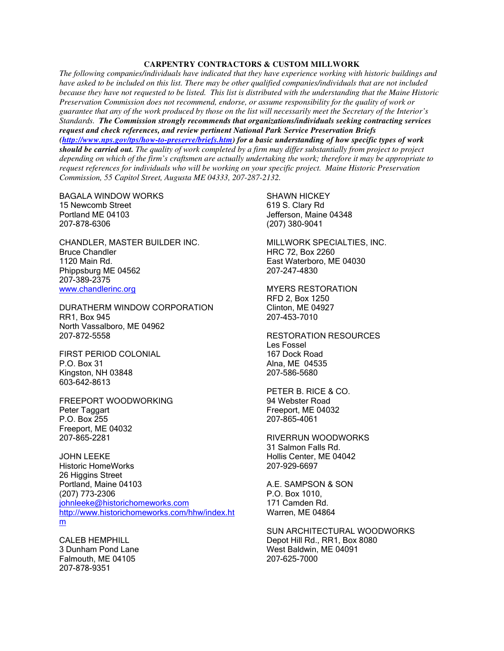## **CARPENTRY CONTRACTORS & CUSTOM MILLWORK**

*The following companies/individuals have indicated that they have experience working with historic buildings and have asked to be included on this list. There may be other qualified companies/individuals that are not included because they have not requested to be listed. This list is distributed with the understanding that the Maine Historic Preservation Commission does not recommend, endorse, or assume responsibility for the quality of work or guarantee that any of the work produced by those on the list will necessarily meet the Secretary of the Interior's Standards. The Commission strongly recommends that organizations/individuals seeking contracting services request and check references, and review pertinent National Park Service Preservation Briefs (http://www.nps.gov/tps/how-to-preserve/briefs.htm) for a basic understanding of how specific types of work should be carried out. The quality of work completed by a firm may differ substantially from project to project depending on which of the firm's craftsmen are actually undertaking the work; therefore it may be appropriate to request references for individuals who will be working on your specific project. Maine Historic Preservation Commission, 55 Capitol Street, Augusta ME 04333, 207-287-2132.*

BAGALA WINDOW WORKS 15 Newcomb Street Portland ME 04103 207-878-6306

CHANDLER, MASTER BUILDER INC. Bruce Chandler 1120 Main Rd. Phippsburg ME 04562 207-389-2375 www.chandlerinc.org

DURATHERM WINDOW CORPORATION RR1, Box 945 North Vassalboro, ME 04962 207-872-5558

FIRST PERIOD COLONIAL P.O. Box 31 Kingston, NH 03848 603-642-8613

FREEPORT WOODWORKING Peter Taggart P.O. Box 255 Freeport, ME 04032 207-865-2281

JOHN LEEKE Historic HomeWorks 26 Higgins Street Portland, Maine 04103 (207) 773-2306 johnleeke@historichomeworks.com http://www.historichomeworks.com/hhw/index.ht m

CALEB HEMPHILL 3 Dunham Pond Lane Falmouth, ME 04105 207-878-9351

SHAWN HICKEY 619 S. Clary Rd Jefferson, Maine 04348 (207) 380-9041

MILLWORK SPECIALTIES, INC. HRC 72, Box 2260 East Waterboro, ME 04030 207-247-4830

MYERS RESTORATION RFD 2, Box 1250 Clinton, ME 04927 207-453-7010

RESTORATION RESOURCES Les Fossel 167 Dock Road Alna, ME 04535 207-586-5680

PETER B. RICE & CO. 94 Webster Road Freeport, ME 04032 207-865-4061

RIVERRUN WOODWORKS 31 Salmon Falls Rd. Hollis Center, ME 04042 207-929-6697

A.E. SAMPSON & SON P.O. Box 1010, 171 Camden Rd. Warren, ME 04864

SUN ARCHITECTURAL WOODWORKS Depot Hill Rd., RR1, Box 8080 West Baldwin, ME 04091 207-625-7000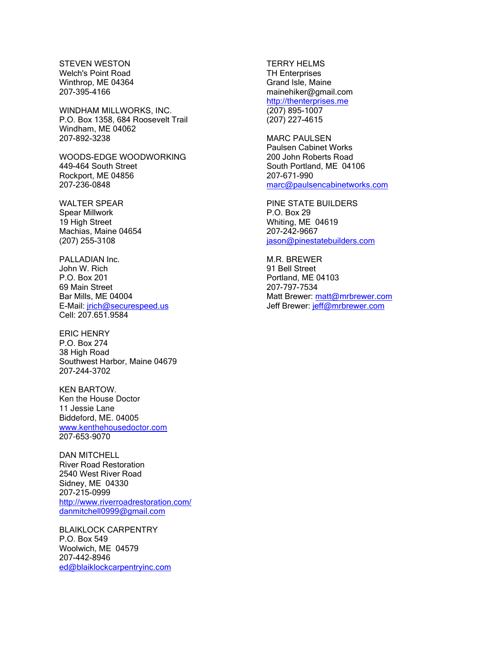STEVEN WESTON Welch's Point Road Winthrop, ME 04364 207-395-4166

WINDHAM MILLWORKS, INC. P.O. Box 1358, 684 Roosevelt Trail Windham, ME 04062 207-892-3238

WOODS-EDGE WOODWORKING 449-464 South Street Rockport, ME 04856 207-236-0848

WALTER SPEAR Spear Millwork 19 High Street Machias, Maine 04654 (207) 255-3108

PALLADIAN Inc. John W. Rich P.O. Box 201 69 Main Street Bar Mills, ME 04004 E-Mail: jrich@securespeed.us Cell: 207.651.9584

ERIC HENRY P.O. Box 274 38 High Road Southwest Harbor, Maine 04679 207-244-3702

KEN BARTOW. Ken the House Doctor 11 Jessie Lane Biddeford, ME. 04005 www.kenthehousedoctor.com 207-653-9070

DAN MITCHELL River Road Restoration 2540 West River Road Sidney, ME 04330 207-215-0999 http://www.riverroadrestoration.com/ danmitchell0999@gmail.com

BLAIKLOCK CARPENTRY P.O. Box 549 Woolwich, ME 04579 207-442-8946 ed@blaiklockcarpentryinc.com TERRY HELMS TH Enterprises Grand Isle, Maine mainehiker@gmail.com http://thenterprises.me (207) 895-1007 (207) 227-4615

MARC PAULSEN Paulsen Cabinet Works 200 John Roberts Road South Portland, ME 04106 207-671-990 marc@paulsencabinetworks.com

PINE STATE BUILDERS P.O. Box 29 Whiting, ME 04619 207-242-9667 jason@pinestatebuilders.com

M.R. BREWER 91 Bell Street Portland, ME 04103 207-797-7534 Matt Brewer: matt@mrbrewer.com Jeff Brewer: jeff@mrbrewer.com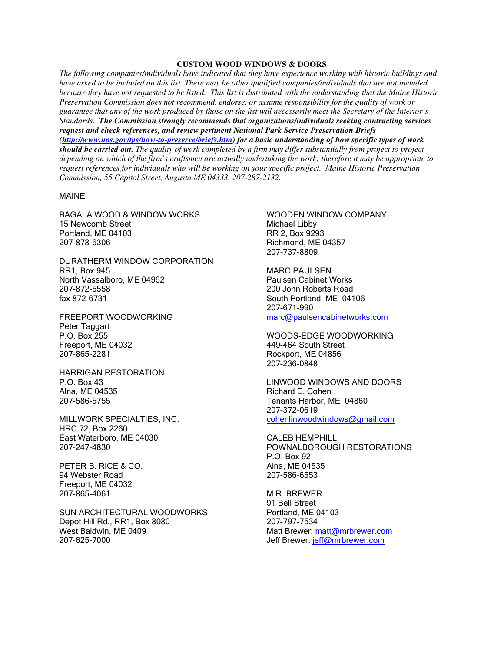## **CUSTOM WOOD WINDOWS & DOORS**

*The following companies/individuals have indicated that they have experience working with historic buildings and have asked to be included on this list. There may be other qualified companies/individuals that are not included because they have not requested to be listed. This list is distributed with the understanding that the Maine Historic Preservation Commission does not recommend, endorse, or assume responsibility for the quality of work or guarantee that any of the work produced by those on the list will necessarily meet the Secretary of the Interior's Standards. The Commission strongly recommends that organizations/individuals seeking contracting services request and check references, and review pertinent National Park Service Preservation Briefs (http://www.nps.gov/tps/how-to-preserve/briefs.htm) for a basic understanding of how specific types of work should be carried out. The quality of work completed by a firm may differ substantially from project to project depending on which of the firm's craftsmen are actually undertaking the work; therefore it may be appropriate to request references for individuals who will be working on your specific project. Maine Historic Preservation Commission, 55 Capitol Street, Augusta ME 04333, 207-287-2132.*

## MAINE

BAGALA WOOD & WINDOW WORKS 15 Newcomb Street Portland, ME 04103 207-878-6306

DURATHERM WINDOW CORPORATION RR1, Box 945 North Vassalboro, ME 04962 207-872-5558 fax 872-6731

FREEPORT WOODWORKING Peter Taggart P.O. Box 255 Freeport, ME 04032 207-865-2281

HARRIGAN RESTORATION P.O. Box 43 Alna, ME 04535 207-586-5755

MILLWORK SPECIALTIES, INC. HRC 72, Box 2260 East Waterboro, ME 04030 207-247-4830

PETER B. RICE & CO. 94 Webster Road Freeport, ME 04032 207-865-4061

SUN ARCHITECTURAL WOODWORKS Depot Hill Rd., RR1, Box 8080 West Baldwin, ME 04091 207-625-7000

WOODEN WINDOW COMPANY Michael Libby RR 2, Box 9293 Richmond, ME 04357 207-737-8809

MARC PAULSEN Paulsen Cabinet Works 200 John Roberts Road South Portland, ME 04106 207-671-990 marc@paulsencabinetworks.com

WOODS-EDGE WOODWORKING 449-464 South Street Rockport, ME 04856 207-236-0848

LINWOOD WINDOWS AND DOORS Richard E. Cohen Tenants Harbor, ME 04860 207-372-0619 cohenlinwoodwindows@gmail.com

CALEB HEMPHILL POWNALBOROUGH RESTORATIONS P.O. Box 92 Alna, ME 04535 207-586-6553

M.R. BREWER 91 Bell Street Portland, ME 04103 207-797-7534 Matt Brewer: matt@mrbrewer.com Jeff Brewer: jeff@mrbrewer.com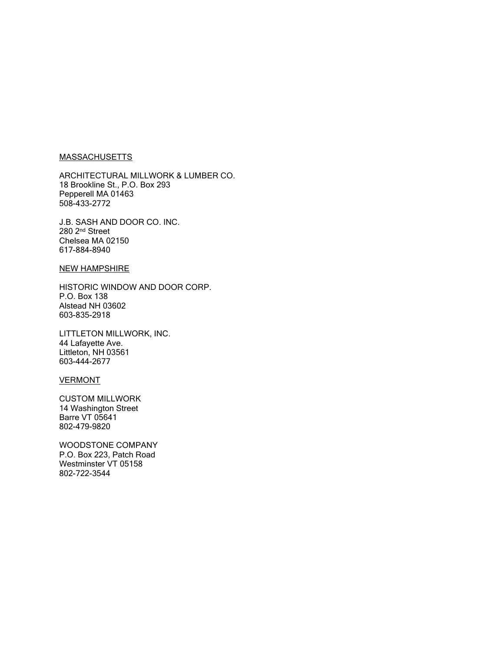## **MASSACHUSETTS**

ARCHITECTURAL MILLWORK & LUMBER CO. 18 Brookline St., P.O. Box 293 Pepperell MA 01463 508-433-2772

J.B. SASH AND DOOR CO. INC. 280 2nd Street Chelsea MA 02150 617-884-8940

# NEW HAMPSHIRE

HISTORIC WINDOW AND DOOR CORP. P.O. Box 138 Alstead NH 03602 603-835-2918

LITTLETON MILLWORK, INC. 44 Lafayette Ave. Littleton, NH 03561 603-444-2677

## **VERMONT**

CUSTOM MILLWORK 14 Washington Street Barre VT 05641 802-479-9820

WOODSTONE COMPANY P.O. Box 223, Patch Road Westminster VT 05158 802-722-3544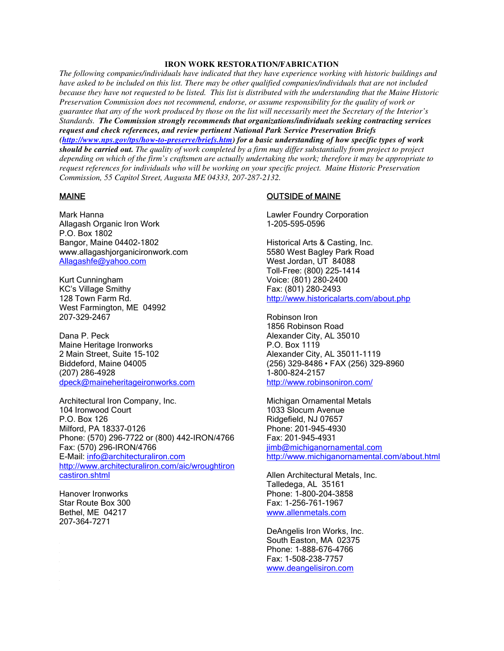## **IRON WORK RESTORATION/FABRICATION**

*The following companies/individuals have indicated that they have experience working with historic buildings and have asked to be included on this list. There may be other qualified companies/individuals that are not included because they have not requested to be listed. This list is distributed with the understanding that the Maine Historic Preservation Commission does not recommend, endorse, or assume responsibility for the quality of work or guarantee that any of the work produced by those on the list will necessarily meet the Secretary of the Interior's Standards. The Commission strongly recommends that organizations/individuals seeking contracting services request and check references, and review pertinent National Park Service Preservation Briefs (http://www.nps.gov/tps/how-to-preserve/briefs.htm) for a basic understanding of how specific types of work should be carried out. The quality of work completed by a firm may differ substantially from project to project depending on which of the firm's craftsmen are actually undertaking the work; therefore it may be appropriate to request references for individuals who will be working on your specific project. Maine Historic Preservation Commission, 55 Capitol Street, Augusta ME 04333, 207-287-2132.*

## MAINE

Mark Hanna Allagash Organic Iron Work P.O. Box 1802 Bangor, Maine 04402-1802 www.allagashjorganicironwork.com Allagashfe@yahoo.com

Kurt Cunningham KC's Village Smithy 128 Town Farm Rd. West Farmington, ME 04992 207-329-2467

Dana P. Peck Maine Heritage Ironworks 2 Main Street, Suite 15-102 Biddeford, Maine 04005 (207) 286-4928 dpeck@maineheritageironworks.com

Architectural Iron Company, Inc. 104 Ironwood Court P.O. Box 126 Milford, PA 18337-0126 Phone: (570) 296-7722 or (800) 442-IRON/4766 Fax: (570) 296-IRON/4766 E-Mail: info@architecturaliron.com http://www.architecturaliron.com/aic/wroughtiron castiron.shtml

Hanover Ironworks Star Route Box 300 Bethel, ME 04217 207-364-7271

## OUTSIDE of MAINE

Lawler Foundry Corporation 1-205-595-0596

Historical Arts & Casting, Inc. 5580 West Bagley Park Road West Jordan, UT 84088 Toll-Free: (800) 225-1414 Voice: (801) 280-2400 Fax: (801) 280-2493 http://www.historicalarts.com/about.php

Robinson Iron 1856 Robinson Road Alexander City, AL 35010 P.O. Box 1119 Alexander City, AL 35011-1119 (256) 329-8486 • FAX (256) 329-8960 1-800-824-2157 http://www.robinsoniron.com/

Michigan Ornamental Metals 1033 Slocum Avenue Ridgefield, NJ 07657 Phone: 201-945-4930 Fax: 201-945-4931 jimb@michiganornamental.com http://www.michiganornamental.com/about.html

Allen Architectural Metals, Inc. Talledega, AL 35161 Phone: 1-800-204-3858 Fax: 1-256-761-1967 www.allenmetals.com

DeAngelis Iron Works, Inc. South Easton, MA 02375 Phone: 1-888-676-4766 Fax: 1-508-238-7757 www.deangelisiron.com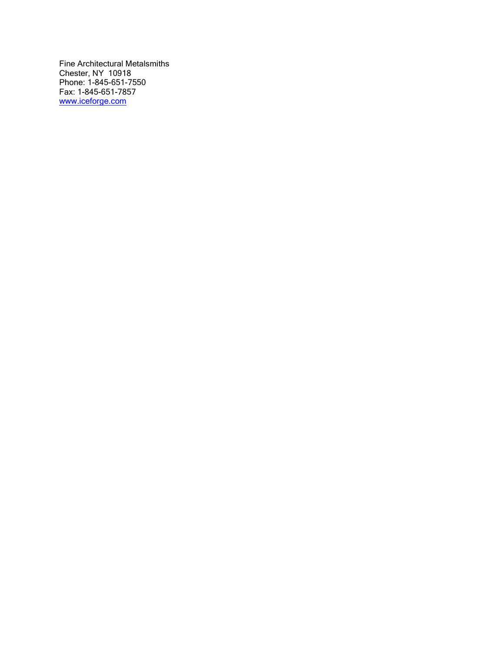Fine Architectural Metalsmiths Chester, NY 10918 Phone: 1-845-651-7550 Fax: 1-845-651-7857 www.iceforge.com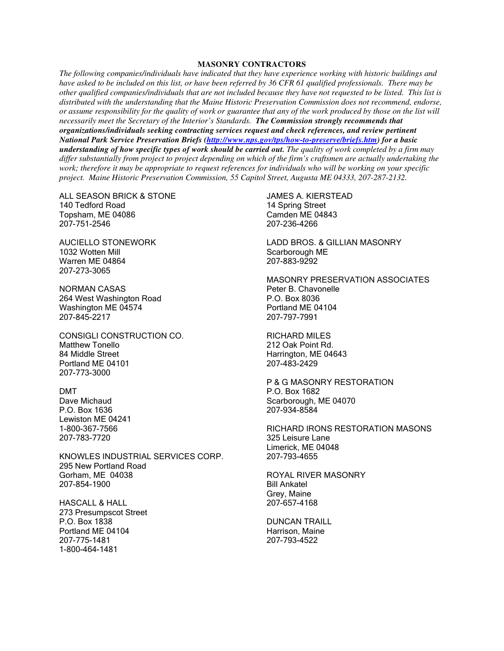## **MASONRY CONTRACTORS**

*The following companies/individuals have indicated that they have experience working with historic buildings and have asked to be included on this list, or have been referred by 36 CFR 61 qualified professionals. There may be other qualified companies/individuals that are not included because they have not requested to be listed. This list is distributed with the understanding that the Maine Historic Preservation Commission does not recommend, endorse, or assume responsibility for the quality of work or guarantee that any of the work produced by those on the list will necessarily meet the Secretary of the Interior's Standards. The Commission strongly recommends that organizations/individuals seeking contracting services request and check references, and review pertinent National Park Service Preservation Briefs (http://www.nps.gov/tps/how-to-preserve/briefs.htm) for a basic understanding of how specific types of work should be carried out. The quality of work completed by a firm may differ substantially from project to project depending on which of the firm's craftsmen are actually undertaking the work; therefore it may be appropriate to request references for individuals who will be working on your specific project. Maine Historic Preservation Commission, 55 Capitol Street, Augusta ME 04333, 207-287-2132.*

ALL SEASON BRICK & STONE 140 Tedford Road Topsham, ME 04086 207-751-2546

AUCIELLO STONEWORK 1032 Wotten Mill Warren ME 04864 207-273-3065

NORMAN CASAS 264 West Washington Road Washington ME 04574 207-845-2217

CONSIGLI CONSTRUCTION CO. Matthew Tonello 84 Middle Street Portland ME 04101 207-773-3000

DMT Dave Michaud P.O. Box 1636 Lewiston ME 04241 1-800-367-7566 207-783-7720

KNOWLES INDUSTRIAL SERVICES CORP. 295 New Portland Road Gorham, ME 04038 207-854-1900

HASCALL & HALL 273 Presumpscot Street P.O. Box 1838 Portland ME 04104 207-775-1481 1-800-464-1481

JAMES A. KIERSTEAD 14 Spring Street Camden ME 04843 207-236-4266

LADD BROS. & GILLIAN MASONRY Scarborough ME 207-883-9292

MASONRY PRESERVATION ASSOCIATES Peter B. Chavonelle P.O. Box 8036 Portland ME 04104 207-797-7991

RICHARD MILES 212 Oak Point Rd. Harrington, ME 04643 207-483-2429

P & G MASONRY RESTORATION P.O. Box 1682 Scarborough, ME 04070 207-934-8584

RICHARD IRONS RESTORATION MASONS 325 Leisure Lane Limerick, ME 04048 207-793-4655

ROYAL RIVER MASONRY Bill Ankatel Grey, Maine 207-657-4168

DUNCAN TRAILL Harrison, Maine 207-793-4522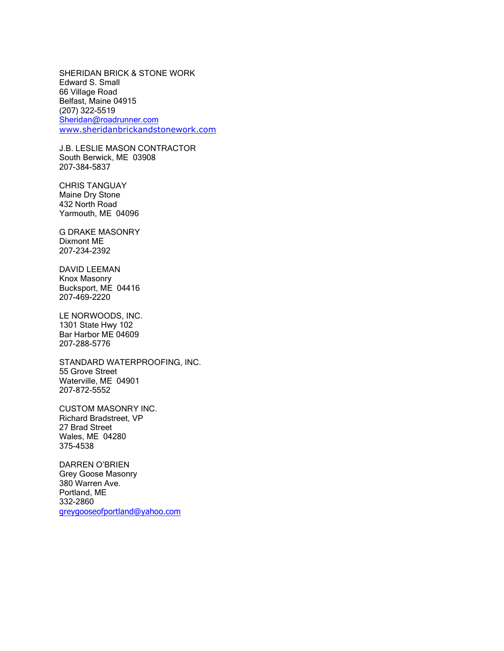SHERIDAN BRICK & STONE WORK Edward S. Small 66 Village Road Belfast, Maine 04915 (207) 322-5519 Sheridan@roadrunner.com www.sheridanbrickandstonework.com

J.B. LESLIE MASON CONTRACTOR South Berwick, ME 03908 207-384-5837

CHRIS TANGUAY Maine Dry Stone 432 North Road Yarmouth, ME 04096

G DRAKE MASONRY Dixmont ME 207-234-2392

DAVID LEEMAN Knox Masonry Bucksport, ME 04416 207-469-2220

LE NORWOODS, INC. 1301 State Hwy 102 Bar Harbor ME 04609 207-288-5776

STANDARD WATERPROOFING, INC. 55 Grove Street Waterville, ME 04901 207-872-5552

CUSTOM MASONRY INC. Richard Bradstreet, VP 27 Brad Street Wales, ME 04280 375-4538

DARREN O'BRIEN Grey Goose Masonry 380 Warren Ave. Portland, ME 332-2860 greygooseofportland@yahoo.com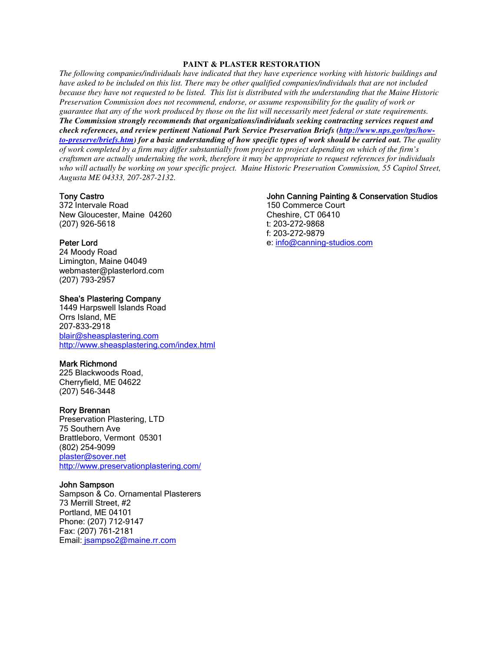## **PAINT & PLASTER RESTORATION**

*The following companies/individuals have indicated that they have experience working with historic buildings and have asked to be included on this list. There may be other qualified companies/individuals that are not included because they have not requested to be listed. This list is distributed with the understanding that the Maine Historic Preservation Commission does not recommend, endorse, or assume responsibility for the quality of work or guarantee that any of the work produced by those on the list will necessarily meet federal or state requirements. The Commission strongly recommends that organizations/individuals seeking contracting services request and check references, and review pertinent National Park Service Preservation Briefs (http://www.nps.gov/tps/howto-preserve/briefs.htm) for a basic understanding of how specific types of work should be carried out. The quality of work completed by a firm may differ substantially from project to project depending on which of the firm's craftsmen are actually undertaking the work, therefore it may be appropriate to request references for individuals who will actually be working on your specific project. Maine Historic Preservation Commission, 55 Capitol Street, Augusta ME 04333, 207-287-2132.*

## Tony Castro

372 Intervale Road New Gloucester, Maine 04260 (207) 926-5618

### Peter Lord

24 Moody Road Limington, Maine 04049 webmaster@plasterlord.com (207) 793-2957

# Shea's Plastering Company

1449 Harpswell Islands Road Orrs Island, ME 207-833-2918 blair@sheasplastering.com http://www.sheasplastering.com/index.html

### Mark Richmond

225 Blackwoods Road, Cherryfield, ME 04622 (207) 546-3448

#### Rory Brennan

Preservation Plastering, LTD 75 Southern Ave Brattleboro, Vermont 05301 (802) 254-9099 plaster@sover.net http://www.preservationplastering.com/

### John Sampson

Sampson & Co. Ornamental Plasterers 73 Merrill Street, #2 Portland, ME 04101 Phone: (207) 712-9147 Fax: (207) 761-2181 Email: jsampso2@maine.rr.com

## John Canning Painting & Conservation Studios

150 Commerce Court Cheshire, CT 06410 t: 203-272-9868 f: 203-272-9879 e: info@canning-studios.com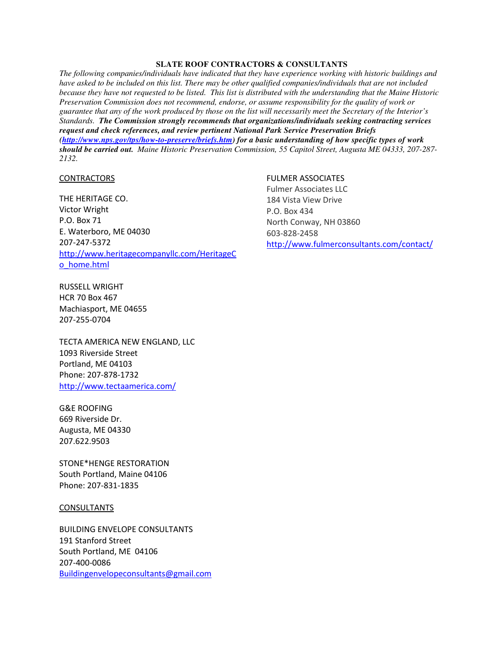## **SLATE ROOF CONTRACTORS & CONSULTANTS**

*The following companies/individuals have indicated that they have experience working with historic buildings and have asked to be included on this list. There may be other qualified companies/individuals that are not included because they have not requested to be listed. This list is distributed with the understanding that the Maine Historic Preservation Commission does not recommend, endorse, or assume responsibility for the quality of work or guarantee that any of the work produced by those on the list will necessarily meet the Secretary of the Interior's Standards. The Commission strongly recommends that organizations/individuals seeking contracting services request and check references, and review pertinent National Park Service Preservation Briefs (http://www.nps.gov/tps/how-to-preserve/briefs.htm) for a basic understanding of how specific types of work should be carried out. Maine Historic Preservation Commission, 55 Capitol Street, Augusta ME 04333, 207-287- 2132.*

## **CONTRACTORS**

THE HERITAGE CO. Victor Wright P.O. Box 71 E. Waterboro, ME 04030 207-247-5372 http://www.heritagecompanyllc.com/HeritageC o\_home.html

RUSSELL WRIGHT HCR 70 Box 467 Machiasport, ME 04655

207-255-0704

TECTA AMERICA NEW ENGLAND, LLC 1093 Riverside Street Portland, ME 04103 Phone: 207-878-1732 http://www.tectaamerica.com/

G&E ROOFING 669 Riverside Dr. Augusta, ME 04330 207.622.9503

STONE\*HENGE RESTORATION South Portland, Maine 04106 Phone: 207-831-1835

#### CONSULTANTS

BUILDING ENVELOPE CONSULTANTS 191 Stanford Street South Portland, ME 04106 207-400-0086 Buildingenvelopeconsultants@gmail.com

## FULMER ASSOCIATES

Fulmer Associates LLC 184 Vista View Drive P.O. Box 434 North Conway, NH 03860 603-828-2458 http://www.fulmerconsultants.com/contact/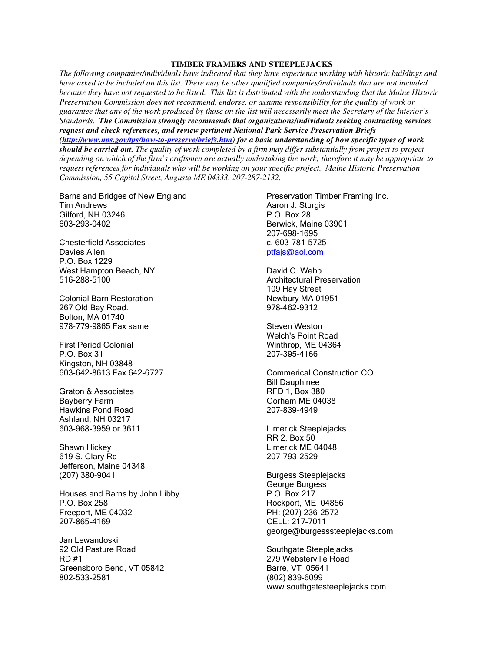## **TIMBER FRAMERS AND STEEPLEJACKS**

*The following companies/individuals have indicated that they have experience working with historic buildings and have asked to be included on this list. There may be other qualified companies/individuals that are not included because they have not requested to be listed. This list is distributed with the understanding that the Maine Historic Preservation Commission does not recommend, endorse, or assume responsibility for the quality of work or guarantee that any of the work produced by those on the list will necessarily meet the Secretary of the Interior's Standards. The Commission strongly recommends that organizations/individuals seeking contracting services request and check references, and review pertinent National Park Service Preservation Briefs (http://www.nps.gov/tps/how-to-preserve/briefs.htm) for a basic understanding of how specific types of work should be carried out. The quality of work completed by a firm may differ substantially from project to project depending on which of the firm's craftsmen are actually undertaking the work; therefore it may be appropriate to request references for individuals who will be working on your specific project. Maine Historic Preservation Commission, 55 Capitol Street, Augusta ME 04333, 207-287-2132.*

Barns and Bridges of New England Tim Andrews Gilford, NH 03246 603-293-0402

Chesterfield Associates Davies Allen P.O. Box 1229 West Hampton Beach, NY 516-288-5100

Colonial Barn Restoration 267 Old Bay Road. Bolton, MA 01740 978-779-9865 Fax same

First Period Colonial P.O. Box 31 Kingston, NH 03848 603-642-8613 Fax 642-6727

Graton & Associates Bayberry Farm Hawkins Pond Road Ashland, NH 03217 603-968-3959 or 3611

Shawn Hickey 619 S. Clary Rd Jefferson, Maine 04348 (207) 380-9041

Houses and Barns by John Libby P.O. Box 258 Freeport, ME 04032 207-865-4169

Jan Lewandoski 92 Old Pasture Road RD #1 Greensboro Bend, VT 05842 802-533-2581

Preservation Timber Framing Inc. Aaron J. Sturgis P.O. Box 28 Berwick, Maine 03901 207-698-1695 c. 603-781-5725 ptfajs@aol.com

David C. Webb Architectural Preservation 109 Hay Street Newbury MA 01951 978-462-9312

Steven Weston Welch's Point Road Winthrop, ME 04364 207-395-4166

Commerical Construction CO. Bill Dauphinee RFD 1, Box 380 Gorham ME 04038 207-839-4949

Limerick Steeplejacks RR 2, Box 50 Limerick ME 04048 207-793-2529

Burgess Steeplejacks George Burgess P.O. Box 217 Rockport, ME 04856 PH: (207) 236-2572 CELL: 217-7011 george@burgesssteeplejacks.com

Southgate Steeplejacks 279 Websterville Road Barre, VT 05641 (802) 839-6099 www.southgatesteeplejacks.com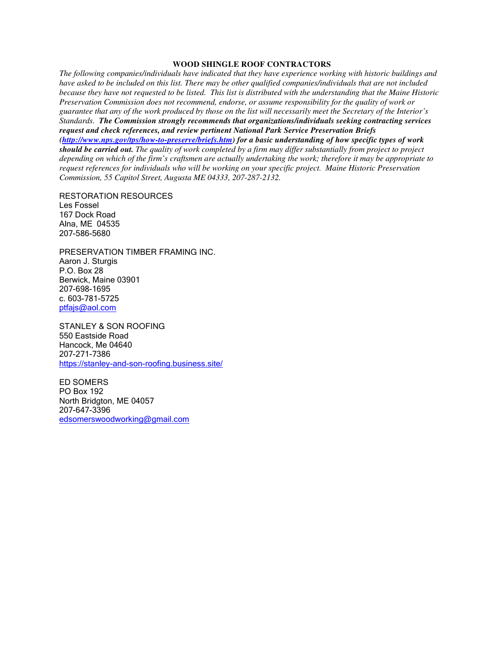## **WOOD SHINGLE ROOF CONTRACTORS**

*The following companies/individuals have indicated that they have experience working with historic buildings and have asked to be included on this list. There may be other qualified companies/individuals that are not included because they have not requested to be listed. This list is distributed with the understanding that the Maine Historic Preservation Commission does not recommend, endorse, or assume responsibility for the quality of work or guarantee that any of the work produced by those on the list will necessarily meet the Secretary of the Interior's Standards. The Commission strongly recommends that organizations/individuals seeking contracting services request and check references, and review pertinent National Park Service Preservation Briefs (http://www.nps.gov/tps/how-to-preserve/briefs.htm) for a basic understanding of how specific types of work should be carried out. The quality of work completed by a firm may differ substantially from project to project depending on which of the firm's craftsmen are actually undertaking the work; therefore it may be appropriate to request references for individuals who will be working on your specific project. Maine Historic Preservation Commission, 55 Capitol Street, Augusta ME 04333, 207-287-2132.*

RESTORATION RESOURCES Les Fossel 167 Dock Road Alna, ME 04535 207-586-5680

PRESERVATION TIMBER FRAMING INC. Aaron J. Sturgis P.O. Box 28 Berwick, Maine 03901 207-698-1695 c. 603-781-5725 ptfajs@aol.com

STANLEY & SON ROOFING 550 Eastside Road Hancock, Me 04640 207-271-7386 https://stanley-and-son-roofing.business.site/

ED SOMERS PO Box 192 North Bridgton, ME 04057 207-647-3396 edsomerswoodworking@gmail.com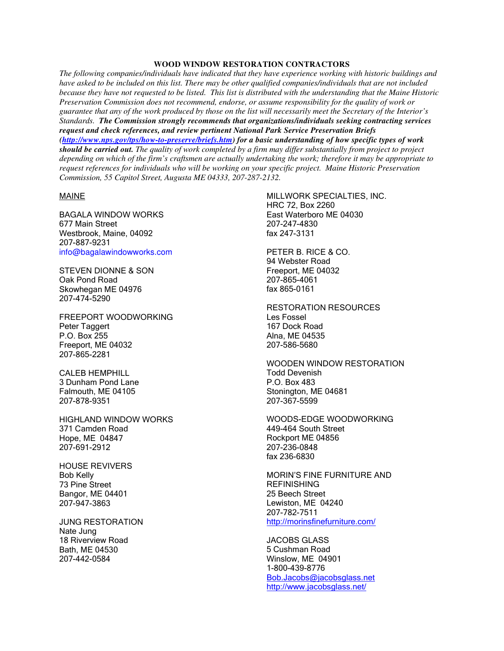## **WOOD WINDOW RESTORATION CONTRACTORS**

*The following companies/individuals have indicated that they have experience working with historic buildings and have asked to be included on this list. There may be other qualified companies/individuals that are not included because they have not requested to be listed. This list is distributed with the understanding that the Maine Historic Preservation Commission does not recommend, endorse, or assume responsibility for the quality of work or guarantee that any of the work produced by those on the list will necessarily meet the Secretary of the Interior's Standards. The Commission strongly recommends that organizations/individuals seeking contracting services request and check references, and review pertinent National Park Service Preservation Briefs (http://www.nps.gov/tps/how-to-preserve/briefs.htm) for a basic understanding of how specific types of work should be carried out. The quality of work completed by a firm may differ substantially from project to project depending on which of the firm's craftsmen are actually undertaking the work; therefore it may be appropriate to request references for individuals who will be working on your specific project. Maine Historic Preservation Commission, 55 Capitol Street, Augusta ME 04333, 207-287-2132.*

## MAINE

BAGALA WINDOW WORKS 677 Main Street Westbrook, Maine, 04092 207-887-9231 info@bagalawindowworks.com

STEVEN DIONNE & SON Oak Pond Road Skowhegan ME 04976 207-474-5290

FREEPORT WOODWORKING Peter Taggert P.O. Box 255 Freeport, ME 04032 207-865-2281

CALEB HEMPHILL 3 Dunham Pond Lane Falmouth, ME 04105 207-878-9351

HIGHLAND WINDOW WORKS 371 Camden Road Hope, ME 04847 207-691-2912

HOUSE REVIVERS Bob Kelly 73 Pine Street Bangor, ME 04401 207-947-3863

JUNG RESTORATION Nate Jung 18 Riverview Road Bath, ME 04530 207-442-0584

MILLWORK SPECIALTIES, INC. HRC 72, Box 2260 East Waterboro ME 04030 207-247-4830 fax 247-3131

PETER B. RICE & CO. 94 Webster Road Freeport, ME 04032 207-865-4061 fax 865-0161

RESTORATION RESOURCES Les Fossel 167 Dock Road Alna, ME 04535 207-586-5680

WOODEN WINDOW RESTORATION Todd Devenish P.O. Box 483 Stonington, ME 04681 207-367-5599

WOODS-EDGE WOODWORKING 449-464 South Street Rockport ME 04856 207-236-0848 fax 236-6830

MORIN'S FINE FURNITURE AND **REFINISHING** 25 Beech Street Lewiston, ME 04240 207-782-7511 http://morinsfinefurniture.com/

JACOBS GLASS 5 Cushman Road Winslow, ME 04901 1-800-439-8776 Bob.Jacobs@jacobsglass.net http://www.jacobsglass.net/